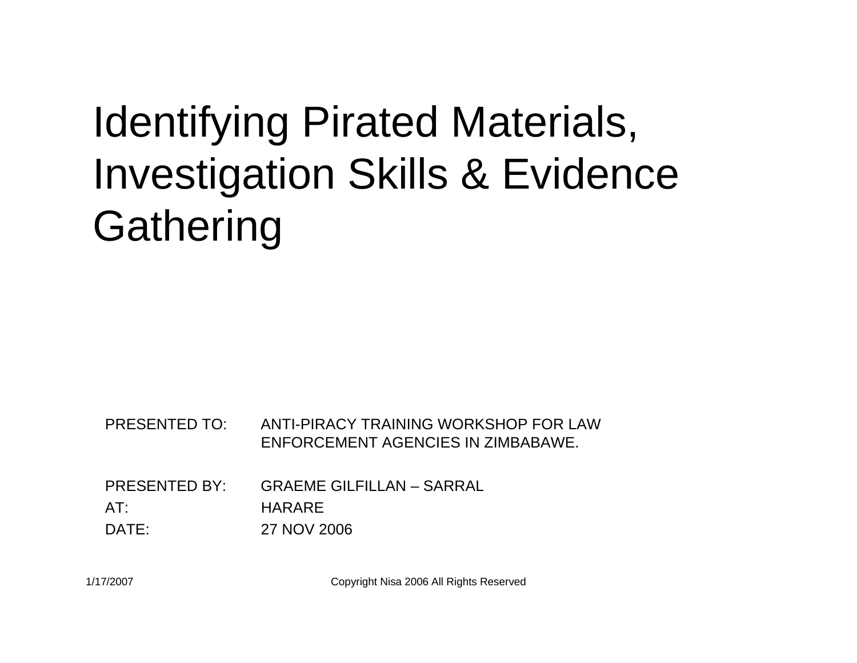#### Identifying Pirated Materials, Investigation Skills & Evidence **Gathering**

PRESENTED TO: ANTI-PIRACY TRAINING WORKSHOP FOR LAW ENFORCEMENT AGENCIES IN ZIMBABAWE.

PRESENTED BY: GRAEME GILFILLAN – SARRALAT:HARARE

DATE:27 NOV 2006

1/17/2007 Copyright Nisa 2006 All Rights Reserved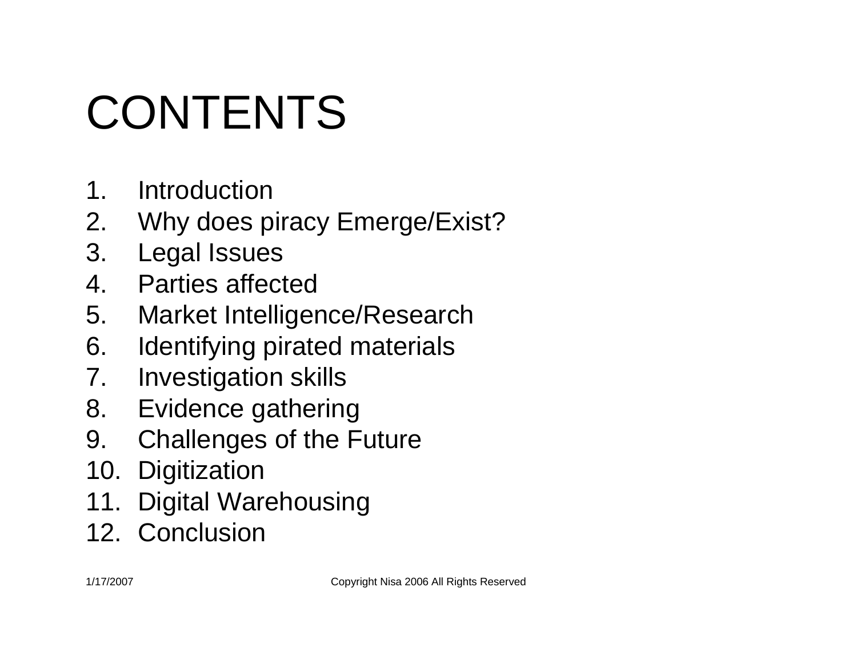# CONTENTS

- 1. Introduction
- 2. Why does piracy Emerge/Exist?
- 3. Legal Issues
- 4. Parties affected
- 5. Market Intelligence/Research
- 6. Identifying pirated materials
- 7. Investigation skills
- 8. Evidence gathering
- 9. Challenges of the Future
- 10. Digitization
- 11. Digital Warehousing
- 12. Conclusion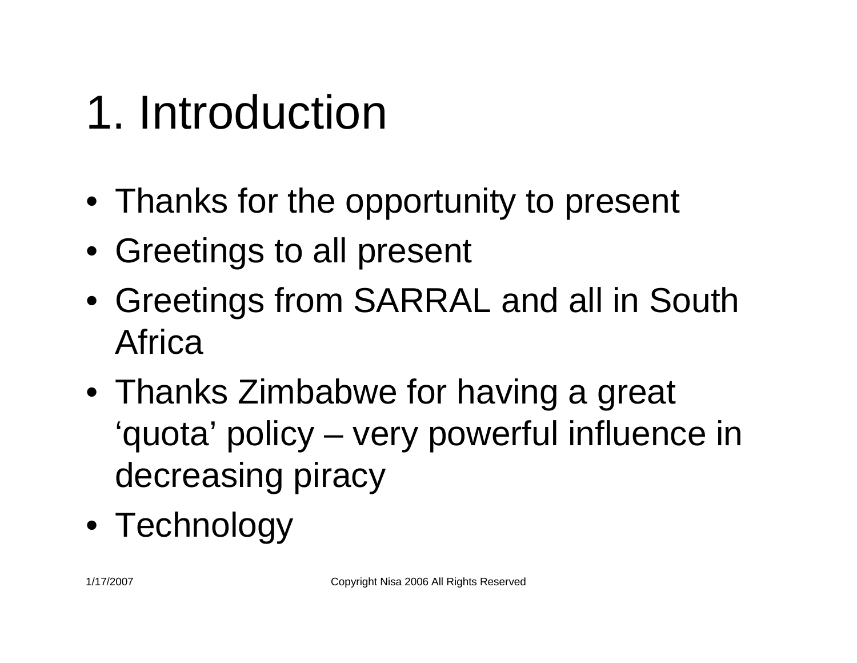## 1. Introduction

- Thanks for the opportunity to present
- Greetings to all present
- Greetings from SARRAL and all in South Africa
- Thanks Zimbabwe for having a great 'quota' policy – very powerful influence in decreasing piracy
- Technology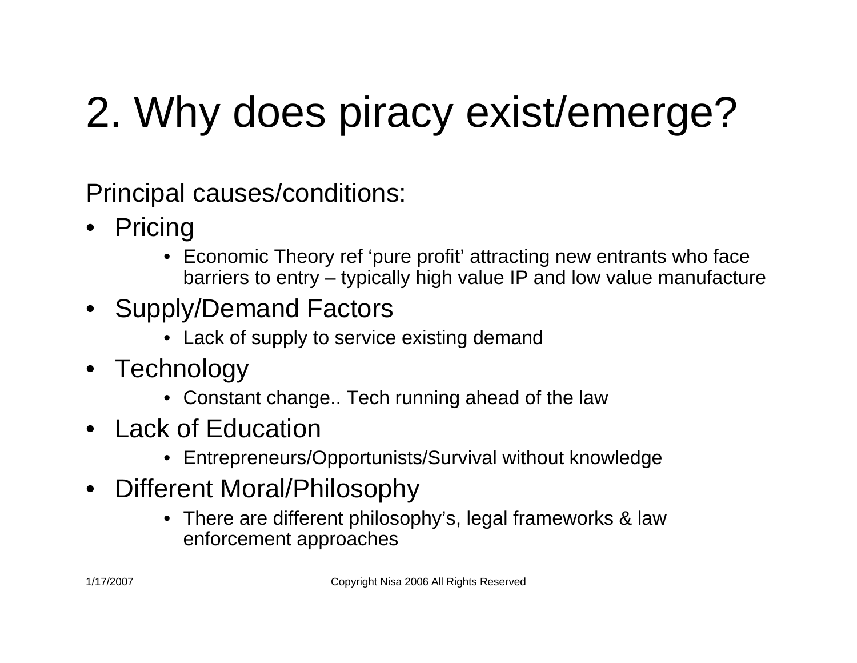## 2. Why does piracy exist/emerge?

Principal causes/conditions:

- Pricing
	- Economic Theory ref 'pure profit' attracting new entrants who face barriers to entry – typically high value IP and low value manufacture
- Supply/Demand Factors
	- Lack of supply to service existing demand
- Technology
	- Constant change.. Tech running ahead of the law
- Lack of Education
	- Entrepreneurs/Opportunists/Survival without knowledge
- Different Moral/Philosophy
	- There are different philosophy's, legal frameworks & law enforcement approaches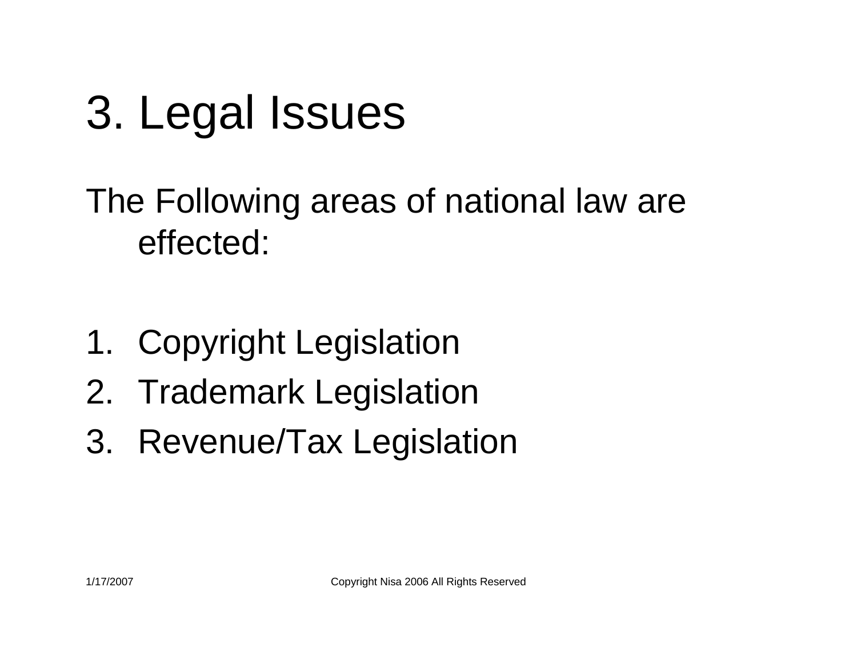## 3. Legal Issues

#### The Following areas of national law are effected:

- 1. Copyright Legislation
- 2. Trademark Legislation
- 3. Revenue/Tax Legislation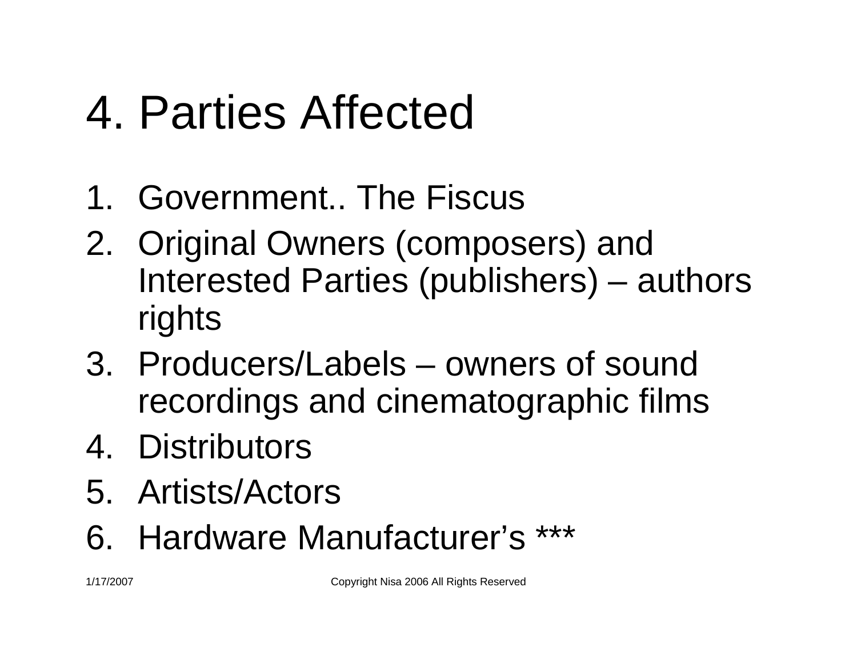## 4. Parties Affected

- 1. Government.. The Fiscus
- 2. Original Owners (composers) and Interested Parties (publishers) – authors rights
- 3. Producers/Labels owners of sound recordings and cinematographic films
- 4. Distributors
- 5. Artists/Actors
- 6. Hardware Manufacturer's \*\*\*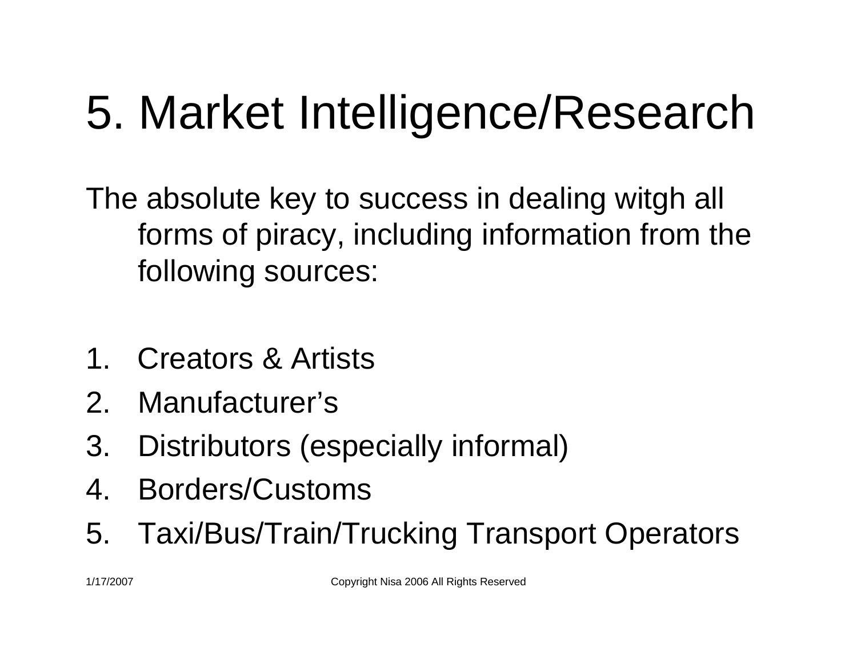## 5. Market Intelligence/Research

The absolute key to success in dealing witgh all forms of piracy, including information from the following sources:

- 1. Creators & Artists
- 2. Manufacturer's
- 3. Distributors (especially informal)
- 4. Borders/Customs
- 5. Taxi/Bus/Train/Trucking Transport Operators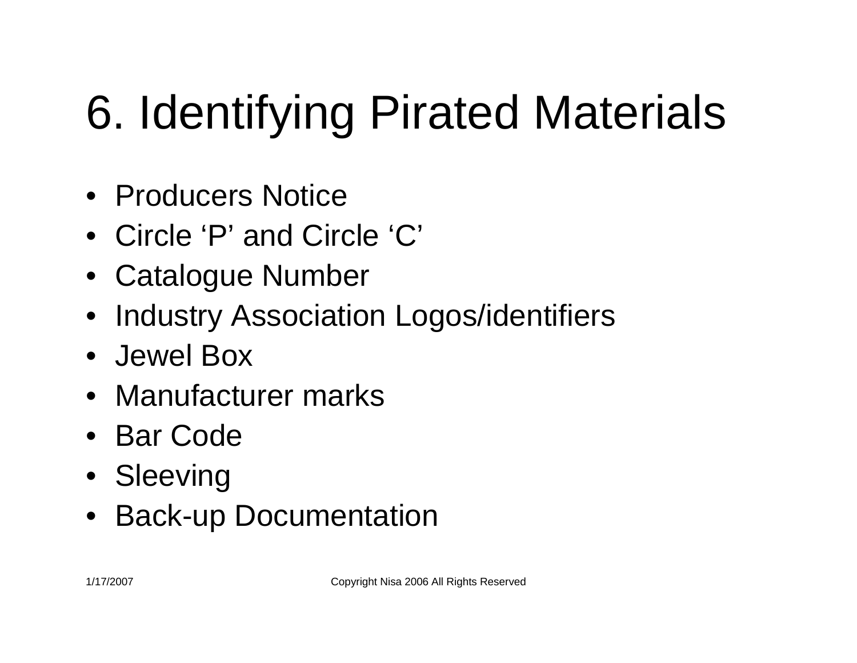# 6. Identifying Pirated Materials

- Producers Notice
- Circle 'P' and Circle 'C'
- Catalogue Number
- Industry Association Logos/identifiers
- Jewel Box
- Manufacturer marks
- Bar Code
- Sleeving
- Back-up Documentation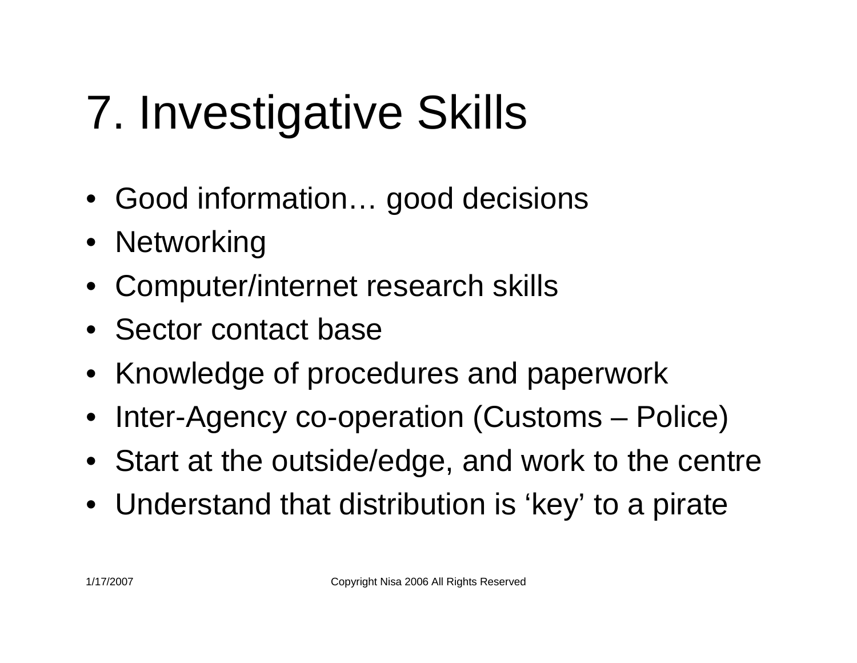# 7. Investigative Skills

- Good information… good decisions
- Networking
- Computer/internet research skills
- Sector contact base
- Knowledge of procedures and paperwork
- •Inter-Agency co-operation (Customs – Police)
- Start at the outside/edge, and work to the centre
- Understand that distribution is 'key' to a pirate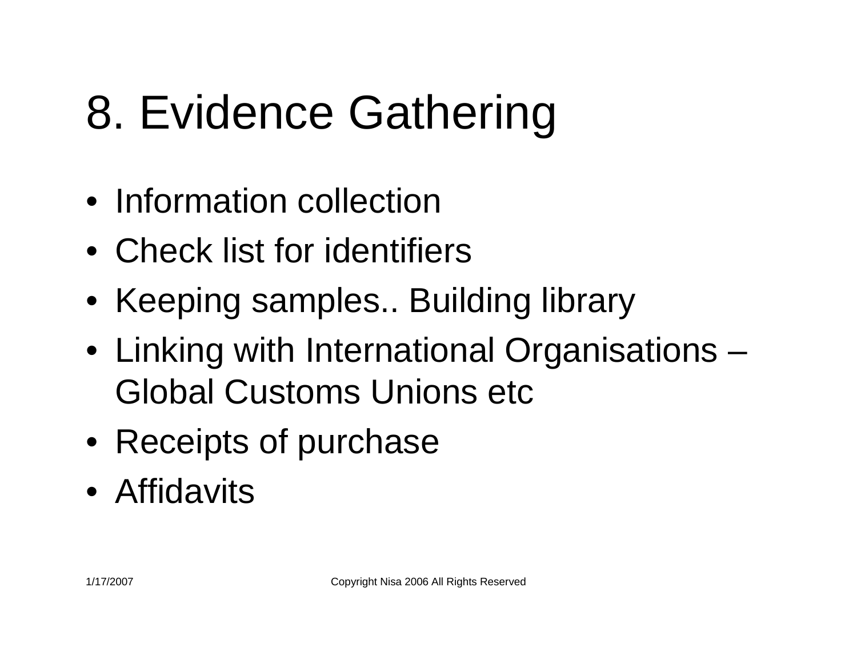## 8. Evidence Gathering

- Information collection
- Check list for identifiers
- Keeping samples.. Building library
- Linking with International Organisations Global Customs Unions etc
- Receipts of purchase
- Affidavits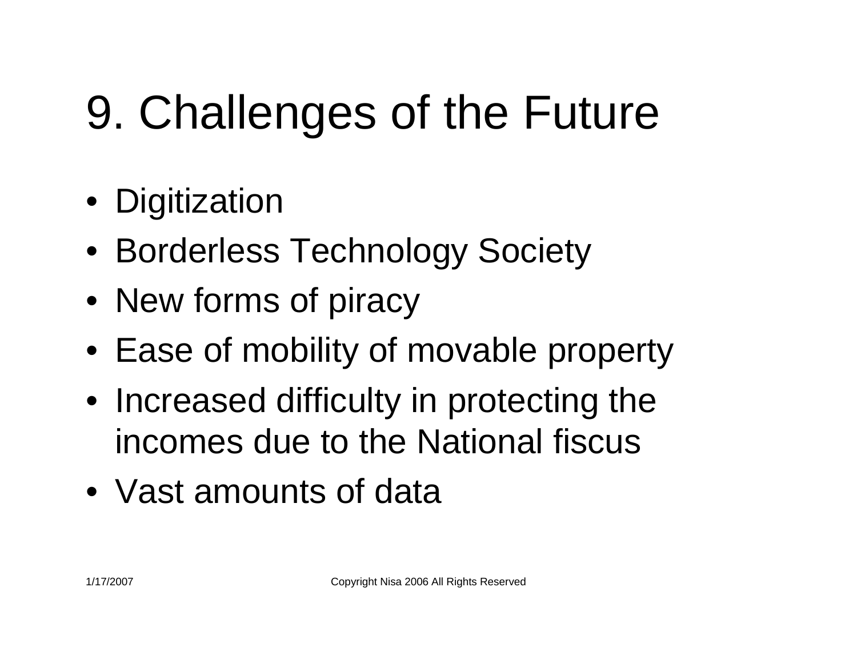# 9. Challenges of the Future

- Digitization
- Borderless Technology Society
- New forms of piracy
- Ease of mobility of movable property
- Increased difficulty in protecting the incomes due to the National fiscus
- Vast amounts of data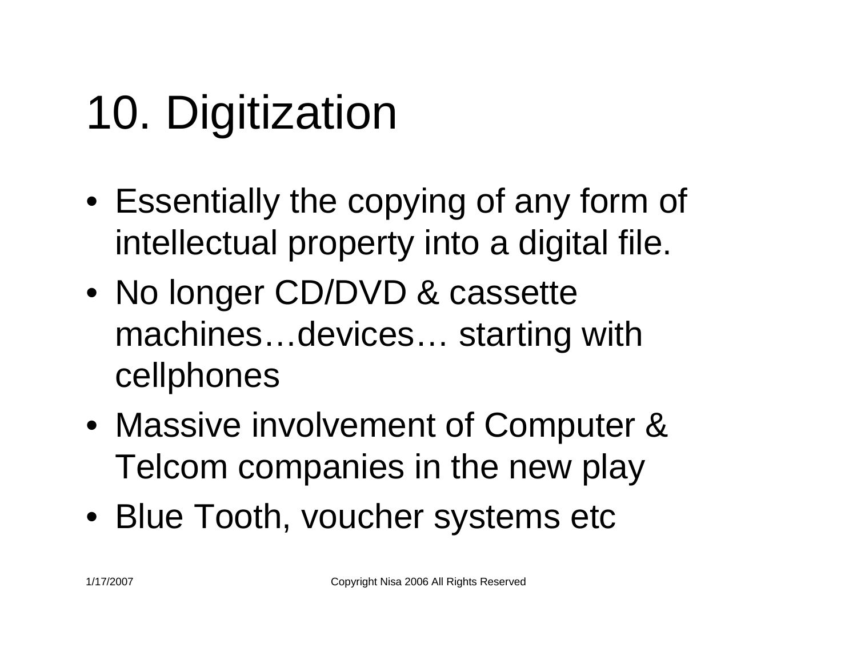# 10. Digitization

- Essentially the copying of any form of intellectual property into a digital file.
- No longer CD/DVD & cassette machines…devices… starting with cellphones
- Massive involvement of Computer & Telcom companies in the new play
- Blue Tooth, voucher systems etc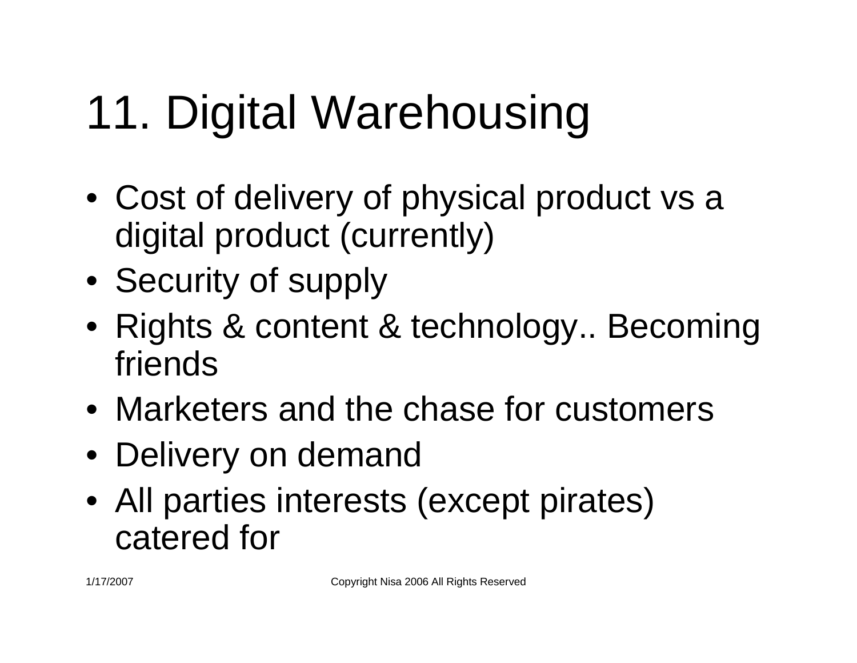# 11. Digital Warehousing

- Cost of delivery of physical product vs <sup>a</sup> digital product (currently)
- Security of supply
- Rights & content & technology.. Becoming friends
- Marketers and the chase for customers
- Delivery on demand
- All parties interests (except pirates) catered for